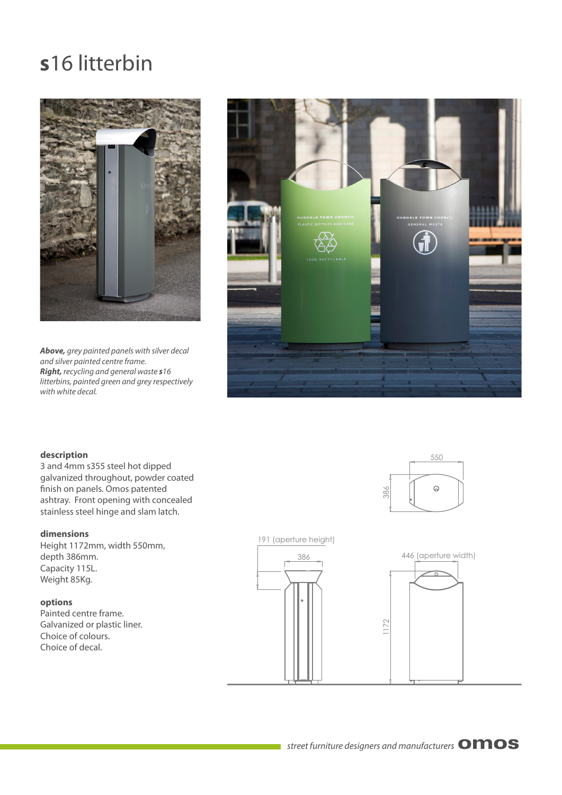## **s**16 litterbin



*Above,* grey painted panels with silver decal and silver painted centre frame. *Right,* recycling and general waste *s*16 litterbins, painted green and grey respectively with white decal.



#### **description**

3 and 4mm s355 steel hot dipped galvanized throughout, powder coated finish on panels. Omos patented ashtray. Front opening with concealed stainless steel hinge and slam latch.

### **dimensions**

Height 1172mm, width 550mm, depth 386mm. Capacity 115L. Weight 85Kg.

#### **options**

Painted centre frame. Galvanized or plastic liner. Choice of colours. Choice of decal.





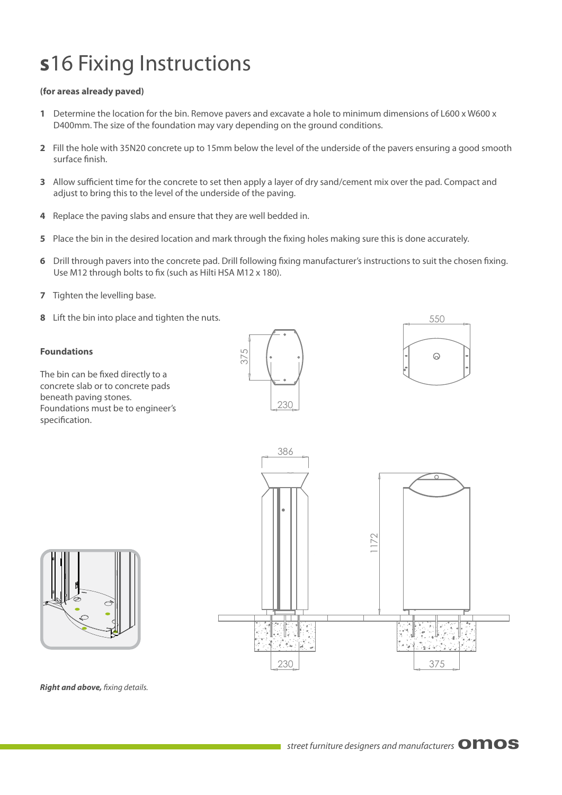# **s**16 Fixing Instructions

### **(for areas already paved)**

- **1** Determine the location for the bin. Remove pavers and excavate a hole to minimum dimensions of L600 x W600 x D400mm. The size of the foundation may vary depending on the ground conditions.
- **2** Fill the hole with 35N20 concrete up to 15mm below the level of the underside of the pavers ensuring a good smooth surface finish.
- **3** Allow sufficient time for the concrete to set then apply a layer of dry sand/cement mix over the pad. Compact and adjust to bring this to the level of the underside of the paving.
- **4** Replace the paving slabs and ensure that they are well bedded in.
- **5** Place the bin in the desired location and mark through the fixing holes making sure this is done accurately.
- **6** Drill through pavers into the concrete pad. Drill following fixing manufacturer's instructions to suit the chosen fixing. Use M12 through bolts to fix (such as Hilti HSA M12 x 180).
- **7** Tighten the levelling base.
- **8** Lift the bin into place and tighten the nuts.

#### **Foundations**

The bin can be fixed directly to a concrete slab or to concrete pads beneath paving stones. Foundations must be to engineer's specification.









**Right and above, fixing details.**